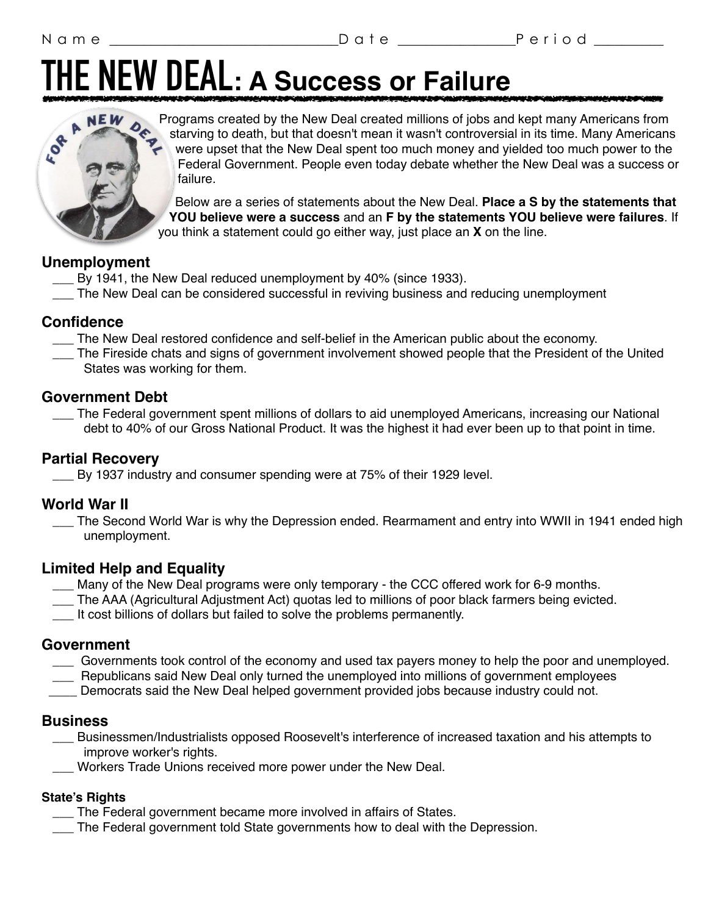## **THE NEW DEAL: A Success or Failure**



Programs created by the New Deal created millions of jobs and kept many Americans from starving to death, but that doesn't mean it wasn't controversial in its time. Many Americans were upset that the New Deal spent too much money and yielded too much power to the Federal Government. People even today debate whether the New Deal was a success or failure.

Below are a series of statements about the New Deal. **Place a S by the statements that YOU believe were a success** and an **F by the statements YOU believe were failures**. If you think a statement could go either way, just place an **X** on the line.

#### **Unemployment**

- \_\_\_ By 1941, the New Deal reduced unemployment by 40% (since 1933).
- \_\_\_ The New Deal can be considered successful in reviving business and reducing unemployment

#### **Confidence**

- \_\_\_ The New Deal restored confidence and self-belief in the American public about the economy.
- \_\_\_ The Fireside chats and signs of government involvement showed people that the President of the United States was working for them.

#### **Government Debt**

 \_\_\_ The Federal government spent millions of dollars to aid unemployed Americans, increasing our National debt to 40% of our Gross National Product. It was the highest it had ever been up to that point in time.

#### **Partial Recovery**

\_\_\_ By 1937 industry and consumer spending were at 75% of their 1929 level.

#### **World War II**

The Second World War is why the Depression ended. Rearmament and entry into WWII in 1941 ended high unemployment.

#### **Limited Help and Equality**

- Many of the New Deal programs were only temporary the CCC offered work for 6-9 months.
- The AAA (Agricultural Adjustment Act) quotas led to millions of poor black farmers being evicted.
- \_\_\_ It cost billions of dollars but failed to solve the problems permanently.

#### **Government**

- \_\_\_ Governments took control of the economy and used tax payers money to help the poor and unemployed.
- \_\_\_ Republicans said New Deal only turned the unemployed into millions of government employees
- Democrats said the New Deal helped government provided jobs because industry could not.

#### **Business**

- \_\_\_ Businessmen/Industrialists opposed Roosevelt's interference of increased taxation and his attempts to improve worker's rights.
- Workers Trade Unions received more power under the New Deal.

#### **State's Rights**

- \_\_\_ The Federal government became more involved in affairs of States.
- \_\_\_ The Federal government told State governments how to deal with the Depression.